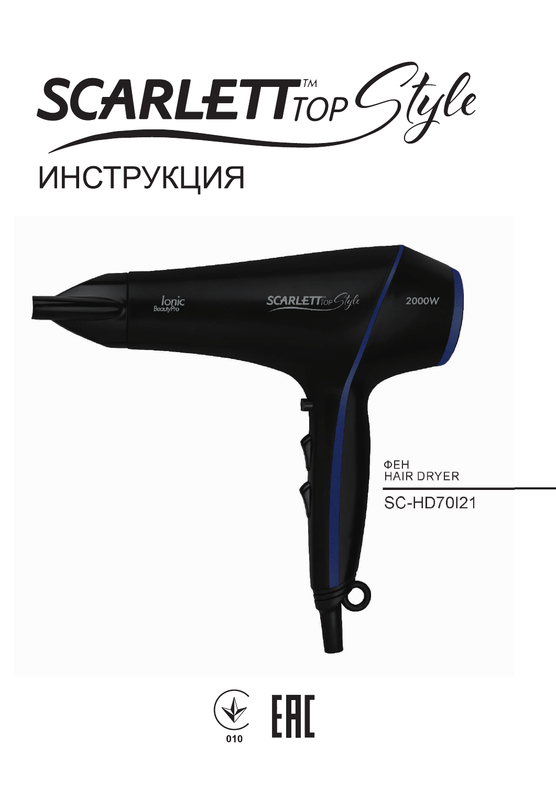

# **ИНСТРУКЦИЯ**

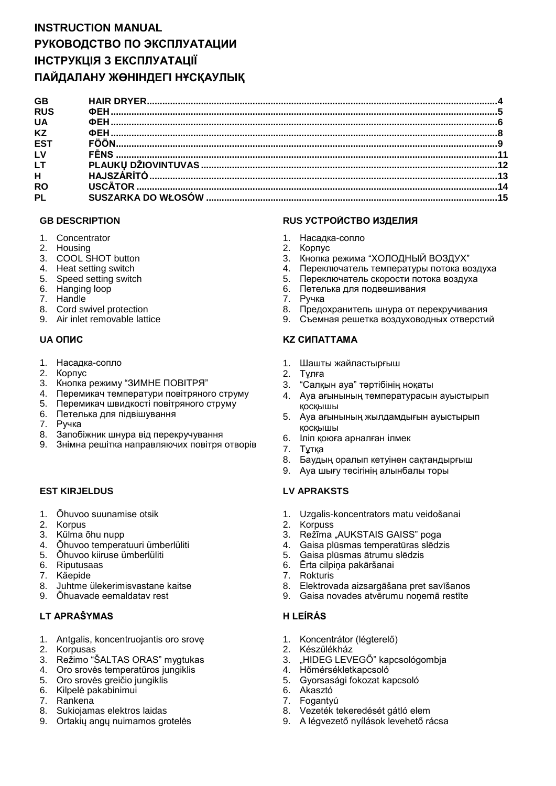# **INSTRUCTION MANUAL РУКОВОДСТВО ПО ЭКСПЛУАТАЦИИ ІНСТРУКЦІЯ З ЕКСПЛУАТАЦІЇ ПАЙДАЛАНУ ЖӨНІНДЕГІ НҰСҚАУЛЫҚ**

| <b>GB</b>       |  |
|-----------------|--|
| <b>RUS</b>      |  |
| <b>UA</b>       |  |
| <b>KZ</b>       |  |
| ES <sub>1</sub> |  |
| LV              |  |
| LT.             |  |
| H.              |  |
| <b>RO</b>       |  |
| PL              |  |
|                 |  |

- 1. Concentrator
- 2. Housing
- 3. COOL SHOT button
- 4. Heat setting switch
- 5. Speed setting switch
- 6. Hanging loop
- 7. Handle
- 8. Cord swivel protection
- 9. Air inlet removable lattice

- 1. Насадка-сопло
- 2. Корпус
- 3. Кнопка режиму "ЗИМНЕ ПОВІТРЯ"
- 4. Перемикач температури повітряного струму
- 5. Перемикач швидкості повітряного струму
- 6. Петелька для підвішування
- 7. Ручка
- 8. Запобіжник шнура від перекручування
- 9. Знімна решітка направляючих повітря отворів

#### **EST KIRJELDUS LV APRAKSTS**

- 1. Õhuvoo suunamise otsik
- 2. Korpus
- 3. Külma õhu nupp
- 4. Õhuvoo temperatuuri ümberlüliti
- 5. Õhuvoo kiiruse ümberlüliti
- 6. Riputusaas
- 7. Käepide
- 8. Juhtme ülekerimisvastane kaitse
- 9. Õhuavade eemaldatav rest

## **LT APRAŠYMAS H LEÍRÁS**

- 1. Antgalis, koncentruojantis oro srovę
- 2. Korpusas
- 3. Režimo "ŠALTAS ORAS" mygtukas
- 4. Oro srovės temperatūros jungiklis
- 5. Oro srovės greičio jungiklis
- 6. Kilpelė pakabinimui
- 7. Rankena
- 8. Sukiojamas elektros laidas
- 9. Ortakių angų nuimamos grotelės

#### **GB DESCRIPTION RUS УСТРОЙСТВО ИЗДЕЛИЯ**

- 1. Насадка-сопло
- 2. Корпус
- 3. Кнопка режима "ХОЛОДНЫЙ ВОЗДУХ"
- 4. Переключатель температуры потока воздуха
- 5. Переключатель скорости потока воздуха
- 6. Петелька для подвешивания
- 7. Ручка
- 8. Предохранитель шнура от перекручивания
- 9. Съемная решетка воздуховодных отверстий

## **UA ОПИС KZ СИПАТТАМА**

- 1. Шашты жайластырғыш
- 2. Тұлға
- 3. "Салқын ауа" тәртібінің ноқаты
- 4. Ауа ағынының температурасын ауыстырып қосқышы
- 5. Ауа ағынының жылдамдығын ауыстырып қосқышы
- 6. Іліп қоюға арналған ілмек
- 7. Тұтқа
- 8. Баудың оралып кетуінен сақтандырғыш
- 9. Ауа шығу тесігінің алынбалы торы

- 1. Uzgalis-koncentrators matu veidošanai
- 2. Korpuss
- 3. Režīma "AUKSTAIS GAISS" poga
- 4. Gaisa plūsmas temperatūras slēdzis
- 5. Gaisa plūsmas ātrumu slēdzis
- 6. Ērta cilpiņa pakāršanai
- 7. Rokturis
- 8. Elektrovada aizsargāšana pret savīšanos
- 9. Gaisa novades atvērumu noņemā restīte

- 1. Koncentrátor (légterelő)
- 2. Készülékház
- 3. "HIDEG LEVEGŐ" kapcsológombja
- 4. Hőmérsékletkapcsoló
- 5. Gyorsasági fokozat kapcsoló
- 6. Akasztó
- 7. Fogantyú
- 8. Vezeték tekeredését gátló elem
- 9. A légvezető nyílások levehető rácsa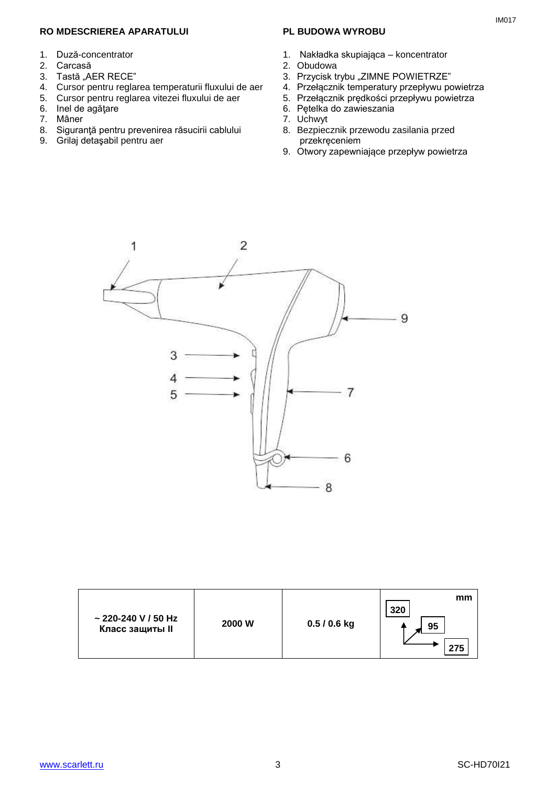#### **RO MDESCRIEREA APARATULUI**

- 1. Duză-concentrator
- 2. Carcasă
- 3. Tastă "AER RECE"
- 4. Cursor pentru reglarea temperaturii fluxului de aer
- 5. Cursor pentru reglarea vitezei fluxului de aer
- 6. Inel de agăţare
- 7. Mâner
- 8. Siguranţă pentru prevenirea răsucirii cablului
- 9. Grilaj detaşabil pentru aer

#### **PL BUDOWA WYROBU**

- 1. Nakładka skupiająca koncentrator
- 2. Obudowa
- 3. Przycisk trybu "ZIMNE POWIETRZE"
- 4. Przełącznik temperatury przepływu powietrza
- 5. Przełącznik prędkości przepływu powietrza
- 6. Pętelka do zawieszania
- 7. Uchwyt
- 8. Bezpiecznik przewodu zasilania przed przekręceniem
- 9. Otwory zapewniające przepływ powietrza



| $\sim$ 220-240 V / 50 Hz<br><b>Класс защиты II</b> | 2000 W | $0.5/0.6$ kg | mm<br>320<br>95<br>275 |
|----------------------------------------------------|--------|--------------|------------------------|
|----------------------------------------------------|--------|--------------|------------------------|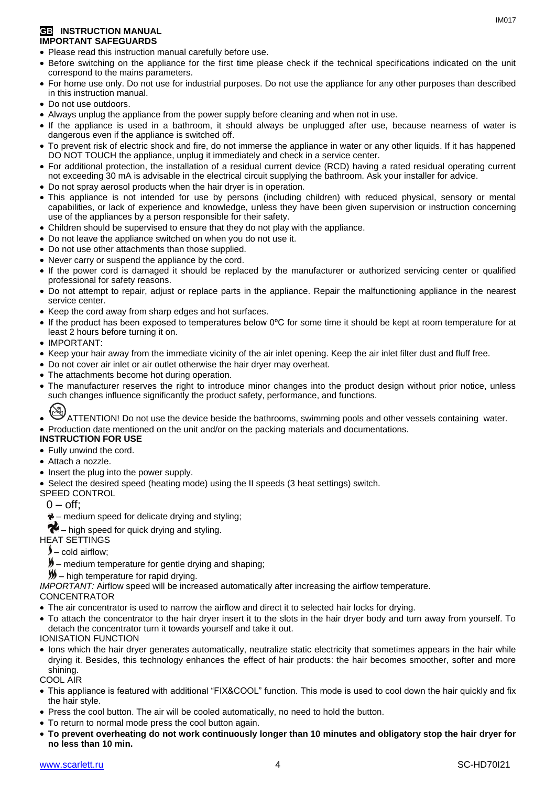#### **GB INSTRUCTION MANUAL IMPORTANT SAFEGUARDS**

- Please read this instruction manual carefully before use.
- Before switching on the appliance for the first time please check if the technical specifications indicated on the unit correspond to the mains parameters.
- For home use only. Do not use for industrial purposes. Do not use the appliance for any other purposes than described in this instruction manual.
- Do not use outdoors.
- Always unplug the appliance from the power supply before cleaning and when not in use.
- If the appliance is used in a bathroom, it should always be unplugged after use, because nearness of water is dangerous even if the appliance is switched off.
- To prevent risk of electric shock and fire, do not immerse the appliance in water or any other liquids. If it has happened DO NOT TOUCH the appliance, unplug it immediately and check in a service center.
- For additional protection, the installation of a residual current device (RCD) having a rated residual operating current not exceeding 30 mA is advisable in the electrical circuit supplying the bathroom. Ask your installer for advice.
- Do not spray aerosol products when the hair dryer is in operation.
- This appliance is not intended for use by persons (including children) with reduced physical, sensory or mental capabilities, or lack of experience and knowledge, unless they have been given supervision or instruction concerning use of the appliances by a person responsible for their safety.
- Children should be supervised to ensure that they do not play with the appliance.
- Do not leave the appliance switched on when you do not use it.
- Do not use other attachments than those supplied.
- Never carry or suspend the appliance by the cord.
- If the power cord is damaged it should be replaced by the manufacturer or authorized servicing center or qualified professional for safety reasons.
- Do not attempt to repair, adjust or replace parts in the appliance. Repair the malfunctioning appliance in the nearest service center.
- Keep the cord away from sharp edges and hot surfaces.
- If the product has been exposed to temperatures below 0ºC for some time it should be kept at room temperature for at least 2 hours before turning it on.
- IMPORTANT:
- Keep your hair away from the immediate vicinity of the air inlet opening. Keep the air inlet filter dust and fluff free.
- Do not cover air inlet or air outlet otherwise the hair dryer may overheat.
- The attachments become hot during operation.
- The manufacturer reserves the right to introduce minor changes into the product design without prior notice, unless such changes influence significantly the product safety, performance, and functions.
- ATTENTION! Do not use the device beside the bathrooms, swimming pools and other vessels containing water.
- Production date mentioned on the unit and/or on the packing materials and documentations.

#### **INSTRUCTION FOR USE**

- Fully unwind the cord.
- Attach a nozzle.
- Insert the plug into the power supply.
- Select the desired speed (heating mode) using the II speeds (3 heat settings) switch.
- SPEED CONTROL
	- $0 \text{off}$ :
	- $\gamma$  medium speed for delicate drying and styling;
- $\bullet$  high speed for quick drying and styling.
- HEAT SETTINGS
	- $\blacktriangleright$  cold airflow;
	- $\blacktriangleright$  medium temperature for gentle drying and shaping;
	- $M$  high temperature for rapid drying.
- *IMPORTANT:* Airflow speed will be increased automatically after increasing the airflow temperature.

#### **CONCENTRATOR**

- The air concentrator is used to narrow the airflow and direct it to selected hair locks for drying.
- To attach the concentrator to the hair dryer insert it to the slots in the hair dryer body and turn away from yourself. To detach the concentrator turn it towards yourself and take it out. IONISATION FUNCTION
- Ions which the hair dryer generates automatically, neutralize static electricity that sometimes appears in the hair while drying it. Besides, this technology enhances the effect of hair products: the hair becomes smoother, softer and more shining.

COOL AIR

- This appliance is featured with additional "FIX&COOL" function. This mode is used to cool down the hair quickly and fix the hair style.
- Press the cool button. The air will be cooled automatically, no need to hold the button.
- To return to normal mode press the cool button again.
- **To prevent overheating do not work continuously longer than 10 minutes and obligatory stop the hair dryer for no less than 10 min.**

IM<sub>017</sub>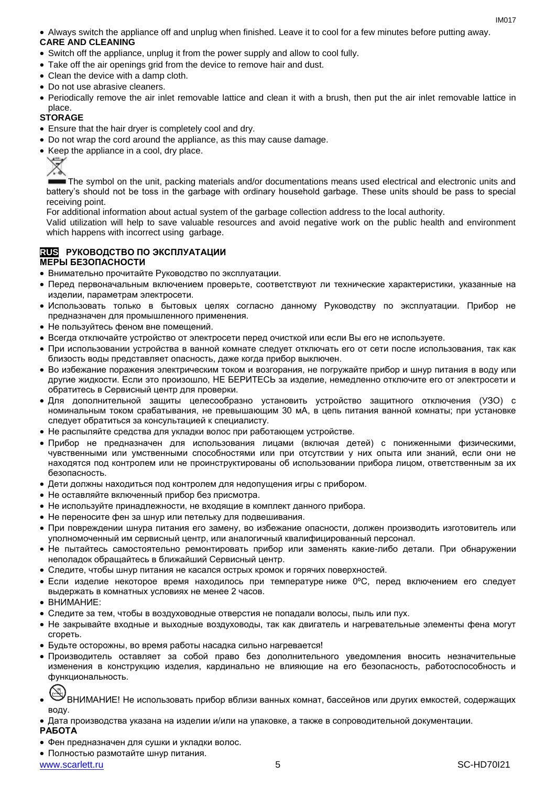Always switch the appliance off and unplug when finished. Leave it to cool for a few minutes before putting away.

#### **CARE AND CLEANING**

- Switch off the appliance, unplug it from the power supply and allow to cool fully.
- Take off the air openings grid from the device to remove hair and dust.
- Clean the device with a damp cloth.
- Do not use abrasive cleaners.
- Periodically remove the air inlet removable lattice and clean it with a brush, then put the air inlet removable lattice in place.

## **STORAGE**

- Ensure that the hair dryer is completely cool and dry.
- Do not wrap the cord around the appliance, as this may cause damage.
- Keep the appliance in a cool, dry place.



The symbol on the unit, packing materials and/or documentations means used electrical and electronic units and battery's should not be toss in the garbage with ordinary household garbage. These units should be pass to special receiving point.

For additional information about actual system of the garbage collection address to the local authority.

Valid utilization will help to save valuable resources and avoid negative work on the public health and environment which happens with incorrect using garbage.

## **RUS РУКОВОДСТВО ПО ЭКСПЛУАТАЦИИ**

#### **МЕРЫ БЕЗОПАСНОСТИ**

- Внимательно прочитайте Руководство по эксплуатации.
- Перед первоначальным включением проверьте, соответствуют ли технические характеристики, указанные на изделии, параметрам электросети.
- Использовать только в бытовых целях согласно данному Руководству по эксплуатации. Прибор не предназначен для промышленного применения.
- Не пользуйтесь феном вне помещений.
- Всегда отключайте устройство от электросети перед очисткой или если Вы его не используете.
- При использовании устройства в ванной комнате следует отключать его от сети после использования, так как близость воды представляет опасность, даже когда прибор выключен.
- Во избежание поражения электрическим током и возгорания, не погружайте прибор и шнур питания в воду или другие жидкости. Если это произошло, НЕ БЕРИТЕСЬ за изделие, немедленно отключите его от электросети и обратитесь в Сервисный центр для проверки.
- Для дополнительной защиты целесообразно установить устройство защитного отключения (УЗО) с номинальным током срабатывания, не превышающим 30 мА, в цепь питания ванной комнаты; при установке следует обратиться за консультацией к специалисту.
- Не распыляйте средства для укладки волос при работающем устройстве.
- Прибор не предназначен для использования лицами (включая детей) с пониженными физическими, чувственными или умственными способностями или при отсутствии у них опыта или знаний, если они не находятся под контролем или не проинструктированы об использовании прибора лицом, ответственным за их безопасность.
- Дети должны находиться под контролем для недопущения игры с прибором.
- Не оставляйте включенный прибор без присмотра.
- Не используйте принадлежности, не входящие в комплект данного прибора.
- Не переносите фен за шнур или петельку для подвешивания.
- При повреждении шнура питания его замену, во избежание опасности, должен производить изготовитель или уполномоченный им сервисный центр, или аналогичный квалифицированный персонал.
- Не пытайтесь самостоятельно ремонтировать прибор или заменять какие-либо детали. При обнаружении неполадок обращайтесь в ближайший Сервисный центр.
- Следите, чтобы шнур питания не касался острых кромок и горячих поверхностей.
- $\bullet$  Если изделие некоторое время находилось при температурениже 0°С, перед включением его следует выдержать в комнатных условиях не менее 2 часов.
- $\bullet$  ВНИМАНИЕ:
- Следите за тем, чтобы в воздуховодные отверстия не попадали волосы, пыль или пух.
- Не закрывайте входные и выходные воздуховоды, так как двигатель и нагревательные элементы фена могут сгореть.
- Будьте осторожны, во время работы насадка сильно нагревается!
- Производитель оставляет за собой право без дополнительного уведомления вносить незначительные изменения в конструкцию изделия, кардинально не влияющие на его безопасность, работоспособность и функциональность.
- .<br>ВНИМАНИЕ! Не использовать прибор вблизи ванных комнат, бассейнов или других емкостей, содержащих воду.
- Дата производства указана на изделии и/или на упаковке, а также в сопроводительной документации.

#### **РАБОТА**

- Фен предназначен для сушки и укладки волос.
- Полностью размотайте шнур питания.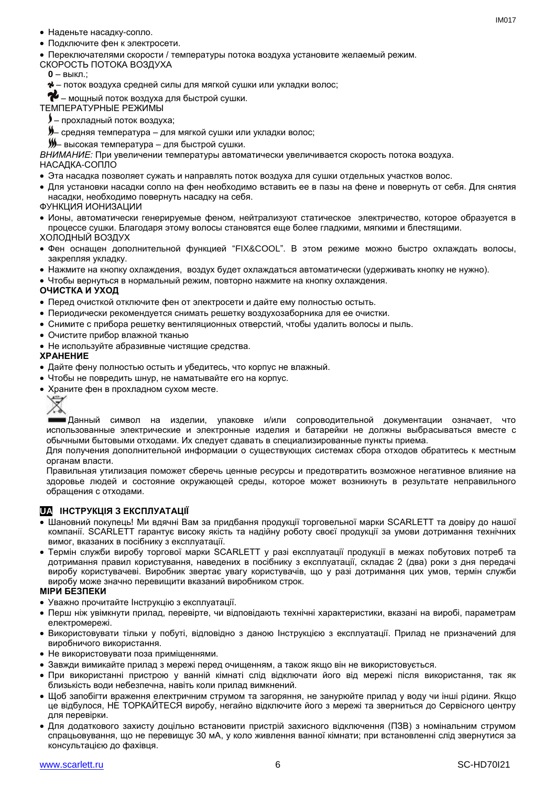- Наденьте насадку-сопло.
- Подключите фен к электросети.
- Переключателями скорости / температуры потока воздуха установите желаемый режим.
- СКОРОСТЬ ПОТОКА ВОЗДУХА
	- **0** выкл.;
	- поток воздуха средней силы для мягкой сушки или укладки волос;
- $\blacktriangleright$  мощный поток воздуха для быстрой сушки.

ТЕМПЕРАТУРНЫЕ РЕЖИМЫ

- прохладный поток воздуха;
- **) –** средняя температура для мягкой сушки или укладки волос;
- высокая температура для быстрой сушки.

*ВНИМАНИЕ:* При увеличении температуры автоматически увеличивается скорость потока воздуха.

НАСАДКА-СОПЛО

- Эта насадка позволяет сужать и направлять поток воздуха для сушки отдельных участков волос.
- Для установки насадки сопло на фен необходимо вставить ее в пазы на фене и повернуть от себя. Для снятия насадки, необходимо повернуть насадку на себя.

ФУНКЦИЯ ИОНИЗАЦИИ

- Ионы, автоматически генерируемые феном, нейтрализуют статическое электричество, которое образуется в процессе сушки. Благодаря этому волосы становятся еще более гладкими, мягкими и блестящими. ХОЛОДНЫЙ ВОЗДУХ
- Фен оснащен дополнительной функцией "FIX&COOL". В этом режиме можно быстро охлаждать волосы, закрепляя укладку.
- Нажмите на кнопку охлаждения, воздух будет охлаждаться автоматически (удерживать кнопку не нужно).
- Чтобы вернуться в нормальный режим, повторно нажмите на кнопку охлаждения.

#### **ОЧИСТКА И УХОД**

- Перед очисткой отключите фен от электросети и дайте ему полностью остыть.
- Периодически рекомендуется снимать решетку воздухозаборника для ее очистки.
- Снимите с прибора решетку вентиляционных отверстий, чтобы удалить волосы и пыль.
- Очистите прибор влажной тканью
- Не используйте абразивные чистящие средства.

#### **ХРАНЕНИЕ**

- Дайте фену полностью остыть и убедитесь, что корпус не влажный.
- Чтобы не повредить шнур, не наматывайте его на корпус.
- Храните фен в прохладном сухом месте.

# ∕ふ

Данный символ на изделии, упаковке и/или сопроводительной документации означает, что использованные электрические и электронные изделия и батарейки не должны выбрасываться вместе с обычными бытовыми отходами. Их следует сдавать в специализированные пункты приема.

Для получения дополнительной информации о существующих системах сбора отходов обратитесь к местным органам власти.

Правильная утилизация поможет сберечь ценные ресурсы и предотвратить возможное негативное влияние на здоровье людей и состояние окружающей среды, которое может возникнуть в результате неправильного обращения с отходами.

## **UA ІНСТРУКЦІЯ З ЕКСПЛУАТАЦІЇ**

- Шановний покупець! Ми вдячні Вам за придбання продукції торговельної марки SCARLETT та довіру до нашої компанії. SCARLETT гарантує високу якість та надійну роботу своєї продукції за умови дотримання технічних вимог, вказаних в посібнику з експлуатації.
- Термін служби виробу торгової марки SCARLETT у разі експлуатації продукції в межах побутових потреб та дотримання правил користування, наведених в посібнику з експлуатації, складає 2 (два) роки з дня передачі виробу користувачеві. Виробник звертає увагу користувачів, що у разі дотримання цих умов, термін служби виробу може значно перевищити вказаний виробником строк.

#### **МІРИ БЕЗПЕКИ**

- Уважно прочитайте Інструкцію з експлуатації.
- Перш ніж увімкнути прилад, перевірте, чи відповідають технічні характеристики, вказані на виробі, параметрам електромережі.
- Використовувати тільки у побуті, відповідно з даною Інструкцією з експлуатації. Прилад не призначений для виробничого використання.
- Не використовувати поза приміщеннями.
- Завжди вимикайте прилад з мережі перед очищенням, а також якщо він не використовується.
- При використанні пристрою у ванній кімнаті слід відключати його від мережі після використання, так як близькість води небезпечна, навіть коли прилад вимкнений.
- Щоб запобігти враження електричним струмом та загоряння, не занурюйте прилад у воду чи інші рідини. Якщо це відбулося, НЕ ТОРКАЙТЕСЯ виробу, негайно відключите його з мережі та зверниться до Сервісного центру для перевірки.
- Для додаткового захисту доцільно встановити пристрій захисного відключення (ПЗВ) з номінальним струмом спрацьовування, що не перевищує 30 мА, у коло живлення ванної кімнати; при встановленні слід звернутися за консультацією до фахівця.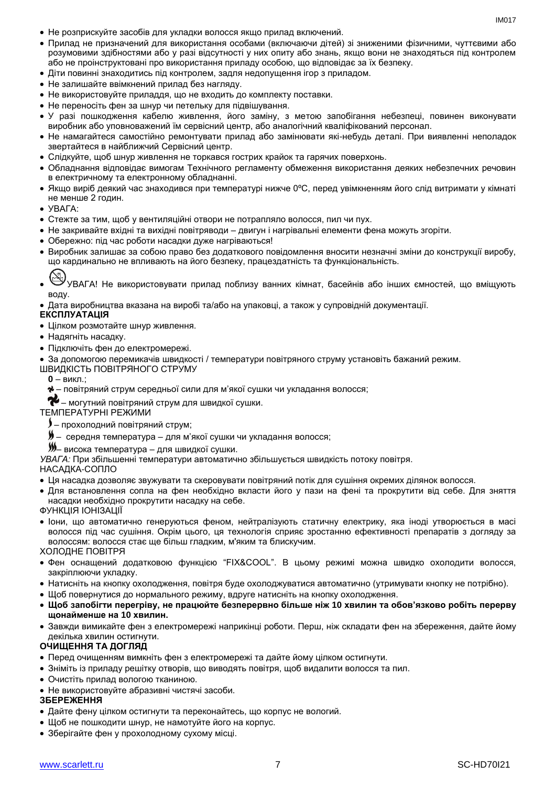- Не розприскуйте засобів для укладки волосся якщо прилад включений.
- Прилад не призначений для використання особами (включаючи дітей) зі зниженими фізичними, чуттєвими або розумовими здібностями або у разі відсутності у них опиту або знань, якщо вони не знаходяться під контролем або не проінструктовані про використання приладу особою, що відповідає за їх безпеку.
- Діти повинні знаходитись під контролем, задля недопущення ігор з приладом.
- Не залишайте ввімкнений прилад без нагляду.
- Не використовуйте приладдя, що не входить до комплекту поставки.
- Не переносіть фен за шнур чи петельку для підвішування.
- У разі пошкодження кабелю живлення, його заміну, з метою запобігання небезпеці, повинен виконувати виробник або уповноважений їм сервісний центр, або аналогічний кваліфікований персонал.
- Не намагайтеся самостійно ремонтувати прилад або замінювати які-небудь деталі. При виявленні неполадок звертайтеся в найближчий Сервісний центр.
- Слідкуйте, щоб шнур живлення не торкався гострих крайок та гарячих поверхонь.
- Обладнання відповідає вимогам Технічного регламенту обмеження використання деяких небезпечних речовин в електричному та електронному обладнанні.
- Якщо виріб деякий час знаходився при температурі нижче 0ºC, перед увімкненням його слід витримати у кімнаті не менше 2 годин.
- УВАГА:
- Стежте за тим, щоб у вентиляційні отвори не потрапляло волосся, пил чи пух.
- Не закривайте вхідні та вихідні повітряводи двигун і нагрівальні елементи фена можуть згоріти.
- Обережно: пiд час роботи насадки дуже нагріваються!
- Виробник залишає за собою право без додаткового повідомлення вносити незначні зміни до конструкції виробу, що кардинально не впливають на його безпеку, працездатність та функціональність.
- 
- УВАГА! Не використовувати прилад поблизу ванних кімнат, басейнів або інших ємностей, що вміщують воду.
- Дата виробництва вказана на виробі та/або на упаковці, а також у супровідній документації.

#### **ЕКСПЛУАТАЦІЯ**

- Цілком розмотайте шнур живлення.
- Надягніть насадку.
- Підключіть фен до електромережі.

За допомогою перемикачів швидкості / температури повітряного струму установіть бажаний режим.

- ШВИДКІСТЬ ПОВІТРЯНОГО СТРУМУ
	- **0** викл.;
	- повітряний струм середньої сили для м'якої сушки чи укладання волосся;
	- $\blacktriangleright$  могутний повітряний струм для швидкої сушки.

#### ТЕМПЕРАТУРНІ РЕЖИМИ

- прохолодний повітряний струм;
- $\blacktriangleright$  середня температура для м'якої сушки чи укладання волосся;
- висока температура для швидкої сушки.

*УВАГА:* При збільшенні температури автоматично збільшується швидкість потоку повітря.

#### НАСАДКА-СОПЛО

- Ця насадка дозволяє звужувати та скеровувати повітряний потік для сушіння окремих ділянок волосся.
- Для встановлення сопла на фен необхідно вкласти його у пази на фені та прокрутити від себе. Для зняття насадки необхідно прокрутити насадку на себе.
- ФУНКЦІЯ ІОНІЗАЦІЇ
- Іони, що автоматично генеруються феном, нейтралізують статичну електрику, яка іноді утворюється в масі волосся під час сушіння. Окрім цього, ця технологія сприяє зростанню ефективності препаратів з догляду за волоссям: волосся стає ще більш гладким, м'яким та блискучим.

#### ХОЛОДНЕ ПОВІТРЯ

- Фен оснащений додатковою функцією "FIX&COOL". В цьому режимі можна швидко охолодити волосся, закріплюючи укладку.
- Натисніть на кнопку охолодження, повітря буде охолоджуватися автоматично (утримувати кнопку не потрібно).
- Щоб повернутися до нормального режиму, вдруге натисніть на кнопку охолодження.
- **Щоб запобігти перегріву, не працюйте безперервно більше ніж 10 хвилин та обов'язково робіть перерву щонайменше на 10 хвилин.**
- Завжди вимикайте фен з електромережі наприкінці роботи. Перш, ніж складати фен на збереження, дайте йому декілька хвилин остигнути.

#### **ОЧИЩЕННЯ ТА ДОГЛЯД**

- Перед очищенням вимкніть фен з електромережі та дайте йому цілком остигнути.
- Зніміть із приладу решітку отворів, що виводять повітря, щоб видалити волосся та пил.
- Очистіть прилад вологою тканиною.
- Не використовуйте абразивні чистячі засоби.

#### **ЗБЕРЕЖЕННЯ**

- Дайте фену цілком остигнути та переконайтесь, що корпус не вологий.
- Щоб не пошкодити шнур, не намотуйте його на корпус.
- Зберігайте фен у прохолодному сухому місці.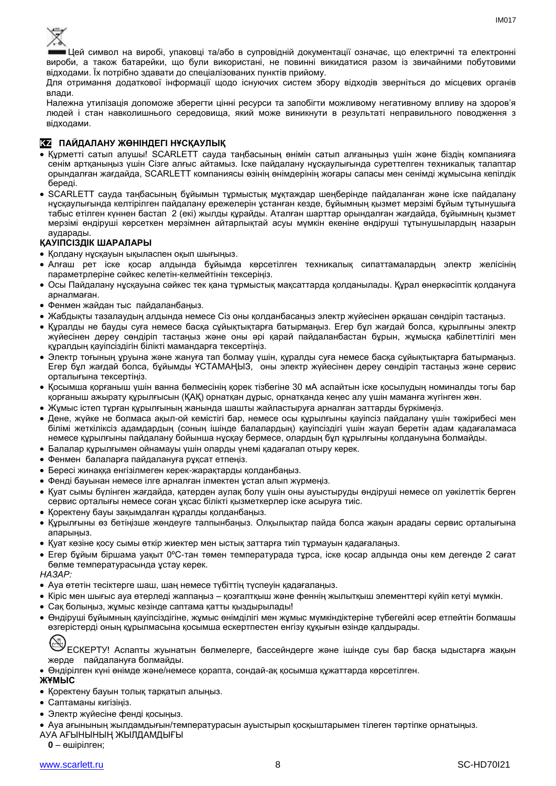

Цей символ на виробі, упаковці та/або в супровідній документації означає, що електричні та електронні вироби, а також батарейки, що були використані, не повинні викидатися разом із звичайними побутовими відходами. Їх потрібно здавати до спеціалізованих пунктів прийому.

Для отримання додаткової інформації щодо існуючих систем збору відходів зверніться до місцевих органів влади.

Належна утилізація допоможе зберегти цінні ресурси та запобігти можливому негативному впливу на здоров'я людей і стан навколишнього середовища, який може виникнути в результаті неправильного поводження з відходами.

#### **KZ ПАЙДАЛАНУ ЖӨНІНДЕГІ НҰСҚАУЛЫҚ**

- Құрметті сатып алушы! SCARLETT сауда таңбасының өнімін сатып алғаныңыз үшін және біздің компанияға сенім артқаныңыз үшін Сізге алғыс айтамыз. Іске пайдалану нұсқаулығында суреттелген техникалық талаптар орындалған жағдайда, SCARLETT компаниясы өзінің өнімдерінің жоғары сапасы мен сенімді жұмысына кепілдік береді.
- SCARLETT сауда таңбасының бұйымын тұрмыстық мұқтаждар шеңберінде пайдаланған және іске пайдалану нұсқаулығында келтірілген пайдалану ережелерін ұстанған кезде, бұйымның қызмет мерзімі бұйым тұтынушыға табыс етілген күннен бастап 2 (екі) жылды құрайды. Аталған шарттар орындалған жағдайда, бұйымның қызмет мерзімі өндіруші көрсеткен мерзімнен айтарлықтай асуы мүмкін екеніне өндіруші тұтынушылардың назарын аударады.

#### **ҚАУІПСІЗДІК ШАРАЛАРЫ**

- Қолдану нұсқауын ықыласпен оқып шығыңыз.
- Алғаш рет іске қосар алдында бұйымда көрсетілген техникалық сипаттамалардың электр желісінің параметрлеріне сәйкес келетін-келмейтінін тексеріңіз.
- Осы Пайдалану нұсқауына сәйкес тек қана тұрмыстық мақсаттарда қолданылады. Құрал өнеркәсіптік қолдануға арналмаған.
- Фенмен жайдан тыс пайдаланбаңыз.
- Жабдықты тазалаудың алдында немесе Сіз оны қолданбасаңыз электр жүйесінен әрқашан сөндіріп тастаңыз.
- Құралды не бауды суға немесе басқа сұйықтықтарға батырмаңыз. Егер бұл жағдай болса, құрылғыны электр жүйесінен дереу сөндіріп тастаңыз және оны әрі қарай пайдаланбастан бұрын, жұмысқа қабілеттілігі мен құралдың қауіпсіздігін білікті мамандарға тексертіңіз.
- Электр тоғының ұруына және жануға тап болмау үшін, құралды суға немесе басқа сұйықтықтарға батырмаңыз. Егер бұл жағдай болса, бұйымды ҰСТАМАҢЫЗ, оны электр жүйесінен дереу сөндіріп тастаңыз және сервис орталығына тексертіңіз.
- Қосымша қорғаныш үшін ванна бөлмесінің қорек тізбегіне 30 мА аспайтын іске қосылудың номиналды тогы бар қорғаныш ажырату құрылғысын (ҚАҚ) орнатқан дұрыс, орнатқанда кеңес алу үшін маманға жүгінген жөн.
- Жұмыс істеп тұрған құрылғының жанында шашты жайластыруға арналған заттарды бүркімеңіз.
- Дене, жүйке не болмаса ақыл-ой кемістігі бар, немесе осы құрылғыны қауіпсіз пайдалану үшін тәжірибесі мен білімі жеткіліксіз адамдардың (соның ішінде балалардың) қауіпсіздігі үшін жауап беретін адам қадағаламаса немесе құрылғыны пайдалану бойынша нұсқау бермесе, олардың бұл құрылғыны қолдануына болмайды.
- Балалар құрылғымен ойнамауы үшін оларды үнемі қадағалап отыру керек.
- Фенмен балаларға пайдалануға рұқсат етпеңіз.
- Бересі жинаққа енгізілмеген керек-жарақтарды қолданбаңыз.
- Фенді бауынан немесе ілге арналған ілмектен ұстап алып жүрмеңіз.
- Қуат сымы бүлінген жағдайда, қатерден аулақ болу үшін оны ауыстыруды өндіруші немесе ол уәкілеттік берген сервис орталығы немесе соған ұқсас білікті қызметкерлер іске асыруға тиіс.
- Қоректену бауы зақымдалған құралды қолданбаңыз.
- Құрылғыны өз бетіңізше жөндеуге талпынбаңыз. Олқылықтар пайда болса жақын арадағы сервис орталығына апарыңыз.
- Қуат көзіне қосу сымы өткір жиектер мен ыстық заттарға тиіп тұрмауын қадағалаңыз.
- Егер бұйым біршама уақыт 0ºC-тан төмен температурада тұрса, іске қосар алдында оны кем дегенде 2 сағат бөлме температурасында ұстау керек.

*НАЗАР:*

- Ауа өтетін тесіктерге шаш, шаң немесе түбіттің түспеуін қадағалаңыз.
- Кіріс мен шығыс ауа өтерледі жаппаңыз қозғалтқыш және феннің жылытқыш элементтері күйіп кетуі мүмкін.
- Сақ болыңыз, жұмыс кезінде саптама қатты қыздырылады!
- Өндіруші бұйымның қауіпсіздігіне, жұмыс өнімділігі мен жұмыс мүмкіндіктеріне түбегейлі әсер етпейтін болмашы өзгерістерді оның құрылмасына қосымша ескертпестен енгізу құқығын өзінде қалдырады.

ЕСКЕРТУ! Аспапты жуынатын бөлмелерге, бассейндерге және ішінде суы бар басқа ыдыстарға жақын жерде пайдалануға болмайды.

Өндірілген күні өнімде және/немесе қорапта, сондай-ақ қосымша құжаттарда көрсетілген.

#### **ЖҰМЫС**

- Қоректену бауын толық тарқатып алыңыз.
- Саптаманы кигізіңіз.
- Электр жүйесіне фенді қосыңыз.

Ауа ағынының жылдамдығын/температурасын ауыстырып қосқыштарымен тілеген тәртіпке орнатыңыз.

АУА АҒЫНЫНЫҢ ЖЫЛДАМДЫҒЫ

**0** – өшірілген;

IM017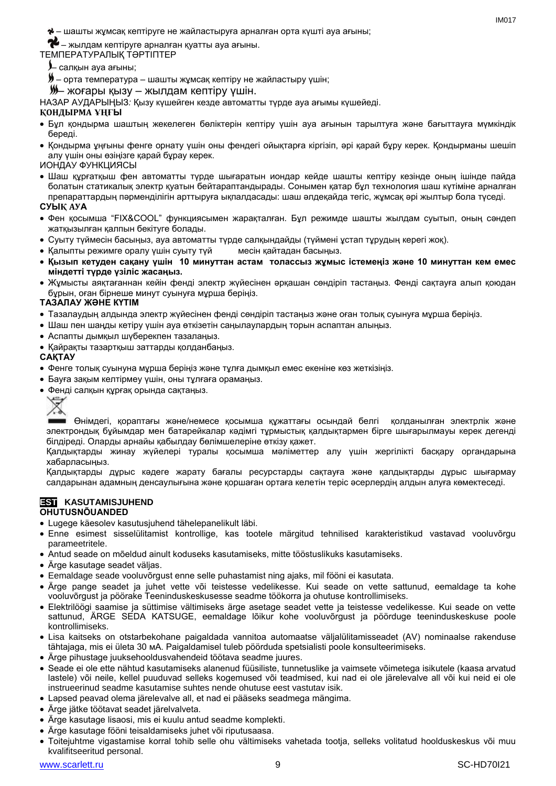– шашты жұмсақ кептіруге не жайластыруға арналған орта күшті ауа ағыны; ob

 $\bullet$  – жылдам кептіруге арналған қуатты ауа ағыны.

#### ТЕМПЕРАТУРАЛЫҚ ТӘРТІПТЕР

- салқын ауа ағыны;
- $\blacktriangleright$  орта температура шашты жұмсақ кептіру не жайластыру үшін;

– жоғары қызу – жылдам кептіру үшін.

НАЗАР АУДАРЫҢЫЗ*:* Қызу күшейген кезде автоматты түрде ауа ағымы күшейеді.

#### **ҚОНДЫРМА ҰҢҒЫ**

- Бұл қондырма шаштың жекелеген бөліктерін кептіру үшін ауа ағынын тарылтуға және бағыттауға мүмкіндік береді.
- Қондырма ұңғыны фенге орнату үшін оны фендегі ойықтарға кіргізіп, әрі қарай бұру керек. Қондырманы шешіп алу үшін оны өзіңізге қарай бұрау керек.

#### ИОНДАУ ФУНКЦИЯСЫ

 Шаш құрғатқыш фен автоматты түрде шығаратын иондар кейде шашты кептіру кезінде оның ішінде пайда болатын статикалық электр қуатын бейтараптандырады. Сонымен қатар бұл технология шаш күтіміне арналған препараттардың пәрменділігін арттыруға ықпалдасады: шаш әлдеқайда тегіс, жұмсақ әрі жылтыр бола түседі.

#### **СУЫҚ АУА**

- Фен қосымша "FIX&COOL" функциясымен жарақталған. Бұл режимде шашты жылдам суытып, оның сәндеп жатқызылған қалпын бекітуге болады.
- Суыту түймесін басыңыз, ауа автоматты түрде салқындайды (түймені ұстап тұрудың керегі жоқ).
- Қалыпты режимге оралу үшін суыту түй месін қайтадан басыңыз.
- **Қызып кетуден сақану үшін 10 минуттан астам толассыз жұмыс істемеңіз және 10 минуттан кем емес міндетті түрде үзіліс жасаңыз.**
- Жұмысты аяқтағаннан кейін фенді электр жүйесінен әрқашан сөндіріп тастаңыз. Фенді сақтауға алып қоюдан бұрын, оған бірнеше минут суынуға мұрша беріңіз.

#### **ТАЗАЛАУ ЖӘНЕ КҮТІМ**

- Тазалаудың алдында электр жүйесінен фенді сөндіріп тастаңыз және оған толық суынуға мұрша беріңіз.
- Шаш пен шаңды кетіру үшін ауа өткізетін саңылаулардың торын аспаптан алыңыз.
- Аспапты дымқыл шүберекпен тазалаңыз.
- Қайрақты тазартқыш заттарды қолданбаңыз.

#### **САҚТАУ**

- Фенге толық суынуна мұрша беріңіз және тұлға дымқыл емес екеніне көз жеткізіңіз.
- Бауға зақым келтірмеу үшін, оны тұлғаға орамаңыз.
- Фенді салқын құрғақ орында сақтаңыз.



Өнімдегі, қораптағы және/немесе қосымша құжаттағы осындай белгі қолданылған электрлік және электрондық бұйымдар мен батарейкалар кәдімгі тұрмыстық қалдықтармен бірге шығарылмауы керек дегенді білдіреді. Оларды арнайы қабылдау бөлімшелеріне өткізу қажет.

Қалдықтарды жинау жүйелері туралы қосымша мәліметтер алу үшін жергілікті басқару органдарына хабарласыңыз.

Қалдықтарды дұрыс кәдеге жарату бағалы ресурстарды сақтауға және қалдықтарды дұрыс шығармау салдарынан адамның денсаулығына және қоршаған ортаға келетін теріс әсерлердің алдын алуға көмектеседі.

#### **EST KASUTAMISJUHEND OHUTUSNÕUANDED**

- Lugege käesolev kasutusjuhend tähelepanelikult läbi.
- Enne esimest sisselülitamist kontrollige, kas tootele märgitud tehnilised karakteristikud vastavad vooluvõrgu parameetritele.
- Antud seade on mõeldud ainult koduseks kasutamiseks, mitte tööstuslikuks kasutamiseks.
- Ärge kasutage seadet väljas.
- Eemaldage seade vooluvõrgust enne selle puhastamist ning ajaks, mil fööni ei kasutata.
- Ärge pange seadet ja juhet vette või teistesse vedelikesse. Kui seade on vette sattunud, eemaldage ta kohe vooluvõrgust ja pöörake Teeninduskeskusesse seadme töökorra ja ohutuse kontrollimiseks.
- Elektrilöögi saamise ja süttimise vältimiseks ärge asetage seadet vette ja teistesse vedelikesse. Kui seade on vette sattunud, ÄRGE SEDA KATSUGE, eemaldage lõikur kohe vooluvõrgust ja pöörduge teeninduskeskuse poole kontrollimiseks.
- Lisa kaitseks on otstarbekohane paigaldada vannitoa automaatse väljalülitamisseadet (AV) nominaalse rakenduse tähtajaga, mis ei ületa 30 мА. Paigaldamisel tuleb pöörduda spetsialisti poole konsulteerimiseks.
- Ärge pihustage juuksehooldusvahendeid töötava seadme juures.
- Seade ei ole ette nähtud kasutamiseks alanenud füüsiliste, tunnetuslike ja vaimsete võimetega isikutele (kaasa arvatud lastele) või neile, kellel puuduvad selleks kogemused või teadmised, kui nad ei ole järelevalve all või kui neid ei ole instrueerinud seadme kasutamise suhtes nende ohutuse eest vastutav isik.
- Lapsed peavad olema järelevalve all, et nad ei pääseks seadmega mängima.
- Ärge jätke töötavat seadet järelvalveta.
- Ärge kasutage lisaosi, mis ei kuulu antud seadme komplekti.
- Ärge kasutage fööni teisaldamiseks juhet või riputusaasa.
- Toitejuhtme vigastamise korral tohib selle ohu vältimiseks vahetada tootja, selleks volitatud hoolduskeskus või muu kvalifitseeritud personal.

 $IMAO17$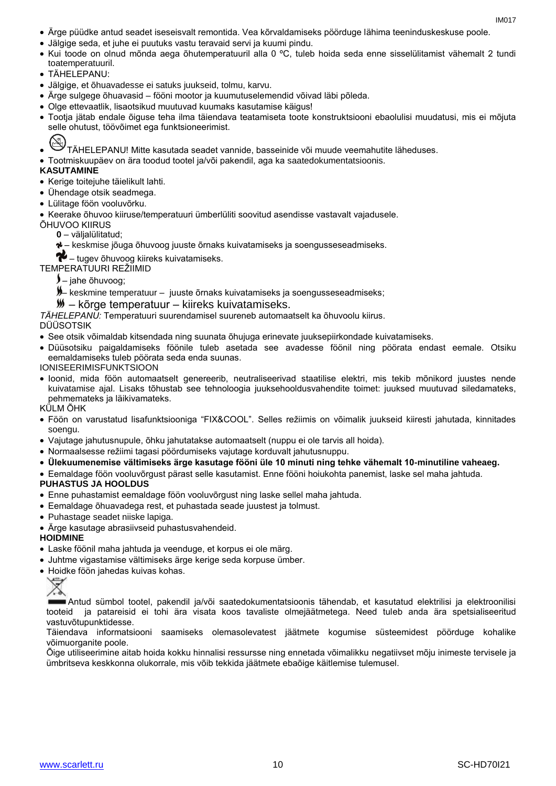- Ärge püüdke antud seadet iseseisvalt remontida. Vea kõrvaldamiseks pöörduge lähima teeninduskeskuse poole.
- Jälgige seda, et juhe ei puutuks vastu teravaid servi ja kuumi pindu.
- Kui toode on olnud mõnda aega õhutemperatuuril alla 0 ºC, tuleb hoida seda enne sisselülitamist vähemalt 2 tundi toatemperatuuril.
- TÄHELEPANU:
- Jälgige, et õhuavadesse ei satuks juukseid, tolmu, karvu.
- Ärge sulgege õhuavasid fööni mootor ja kuumutuselemendid võivad läbi põleda.
- Olge ettevaatlik, lisaotsikud muutuvad kuumaks kasutamise käigus!
- Tootja jätab endale õiguse teha ilma täiendava teatamiseta toote konstruktsiooni ebaolulisi muudatusi, mis ei mõjuta selle ohutust, töövõimet ega funktsioneerimist.
- TÄHELEPANU! Mitte kasutada seadet vannide, basseinide või muude veemahutite läheduses.
- Tootmiskuupäev on ära toodud tootel ja/või pakendil, aga ka saatedokumentatsioonis.

#### **KASUTAMINE**

- Kerige toitejuhe täielikult lahti.
- Ühendage otsik seadmega.
- Lülitage föön vooluvõrku.
- Keerake õhuvoo kiiruse/temperatuuri ümberlüliti soovitud asendisse vastavalt vajadusele.
- ÕHUVOO KIIRUS
	- **0** väljalülitatud;
	- keskmise jõuga õhuvoog juuste õrnaks kuivatamiseks ja soengusseseadmiseks.
	- $\blacktriangleright$  tugev õhuvoog kiireks kuivatamiseks.

TEMPERATUURI REŽIIMID

- $\lambda$  jahe õhuvoog;
- keskmine temperatuur juuste õrnaks kuivatamiseks ja soengusseseadmiseks;
- *<u>W</u>* kõrge temperatuur kiireks kuivatamiseks.

*TÄHELEPANU:* Temperatuuri suurendamisel suureneb automaatselt ka õhuvoolu kiirus.

#### DÜÜSOTSIK

- See otsik võimaldab kitsendada ning suunata õhujuga erinevate juuksepiirkondade kuivatamiseks.
- Düüsotsiku paigaldamiseks föönile tuleb asetada see avadesse föönil ning pöörata endast eemale. Otsiku eemaldamiseks tuleb pöörata seda enda suunas.

#### IONISEERIMISFUNKTSIOON

 Ioonid, mida föön automaatselt genereerib, neutraliseerivad staatilise elektri, mis tekib mõnikord juustes nende kuivatamise ajal. Lisaks tõhustab see tehnoloogia juuksehooldusvahendite toimet: juuksed muutuvad siledamateks, pehmemateks ja läikivamateks.

KÜLM ÕHK

- Föön on varustatud lisafunktsiooniga "FIX&COOL". Selles režiimis on võimalik juukseid kiiresti jahutada, kinnitades soengu.
- Vajutage jahutusnupule, õhku jahutatakse automaatselt (nuppu ei ole tarvis all hoida).
- Normaalsesse režiimi tagasi pöördumiseks vajutage korduvalt jahutusnuppu.
- **Ülekuumenemise vältimiseks ärge kasutage fööni üle 10 minuti ning tehke vähemalt 10-minutiline vaheaeg.**
- Eemaldage föön vooluvõrgust pärast selle kasutamist. Enne fööni hoiukohta panemist, laske sel maha jahtuda.

#### **PUHASTUS JA HOOLDUS**

- Enne puhastamist eemaldage föön vooluvõrgust ning laske sellel maha jahtuda.
- Eemaldage õhuavadega rest, et puhastada seade juustest ja tolmust.
- Puhastage seadet niiske lapiga.
- Ärge kasutage abrasiivseid puhastusvahendeid.

**HOIDMINE**

- Laske föönil maha jahtuda ja veenduge, et korpus ei ole märg.
- Juhtme vigastamise vältimiseks ärge kerige seda korpuse ümber.
- Hoidke föön jahedas kuivas kohas.



Antud sümbol tootel, pakendil ja/või saatedokumentatsioonis tähendab, et kasutatud elektrilisi ja elektroonilisi tooteid ja patareisid ei tohi ära visata koos tavaliste olmejäätmetega. Need tuleb anda ära spetsialiseeritud vastuvõtupunktidesse.

Täiendava informatsiooni saamiseks olemasolevatest jäätmete kogumise süsteemidest pöörduge kohalike võimuorganite poole.

Õige utiliseerimine aitab hoida kokku hinnalisi ressursse ning ennetada võimalikku negatiivset mõju inimeste tervisele ja ümbritseva keskkonna olukorrale, mis võib tekkida jäätmete ebaõige käitlemise tulemusel.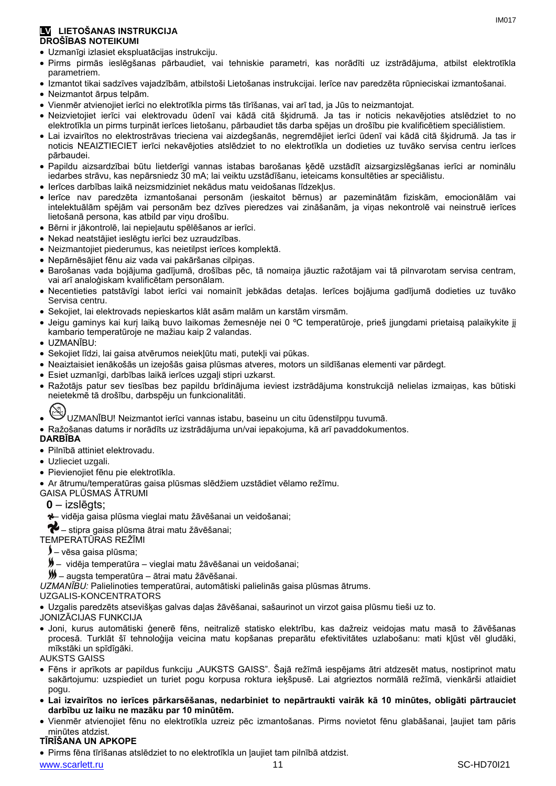#### **LV LIETOŠANAS INSTRUKCIJA DROŠĪBAS NOTEIKUMI**

- Uzmanīgi izlasiet ekspluatācijas instrukciju.
- Pirms pirmās ieslēgšanas pārbaudiet, vai tehniskie parametri, kas norādīti uz izstrādājuma, atbilst elektrotīkla parametriem.
- Izmantot tikai sadzīves vajadzībām, atbilstoši Lietošanas instrukcijai. Ierīce nav paredzēta rūpnieciskai izmantošanai.
- Neizmantot ārpus telpām.
- Vienmēr atvienojiet ierīci no elektrotīkla pirms tās tīrīšanas, vai arī tad, ja Jūs to neizmantojat.
- Neizvietojiet ierīci vai elektrovadu ūdenī vai kādā citā šķidrumā. Ja tas ir noticis nekavējoties atslēdziet to no elektrotīkla un pirms turpināt ierīces lietošanu, pārbaudiet tās darba spējas un drošību pie kvalificētiem speciālistiem.
- Lai izvairītos no elektrostrāvas trieciena vai aizdegšanās, negremdējiet ierīci ūdenī vai kādā citā šķidrumā. Ja tas ir noticis NEAIZTIECIET ierīci nekavējoties atslēdziet to no elektrotīkla un dodieties uz tuvāko servisa centru ierīces pārbaudei.
- Papildu aizsardzībai būtu lietderīgi vannas istabas barošanas ķēdē uzstādīt aizsargizslēgšanas ierīci ar nominālu iedarbes strāvu, kas nepārsniedz 30 mА; lai veiktu uzstādīšanu, ieteicams konsultēties ar speciālistu.
- Ierīces darbības laikā neizsmidziniet nekādus matu veidošanas līdzekļus.
- Ierīce nav paredzēta izmantošanai personām (ieskaitot bērnus) ar pazeminātām fiziskām, emocionālām vai intelektuālām spējām vai personām bez dzīves pieredzes vai zināšanām, ja viņas nekontrolē vai neinstruē ierīces lietošanā persona, kas atbild par viņu drošību.
- Bērni ir jākontrolē, lai nepieļautu spēlēšanos ar ierīci.
- Nekad neatstājiet ieslēgtu ierīci bez uzraudzības.
- Neizmantojiet piederumus, kas neietilpst ierīces komplektā.
- Nepārnēsājiet fēnu aiz vada vai pakāršanas cilpiņas.
- Barošanas vada bojājuma gadījumā, drošības pēc, tā nomaiņa jāuztic ražotājam vai tā pilnvarotam servisa centram, vai arī analoģiskam kvalificētam personālam.
- Necentieties patstāvīgi labot ierīci vai nomainīt jebkādas detaļas. Ierīces bojājuma gadījumā dodieties uz tuvāko Servisa centru.
- Sekojiet, lai elektrovads nepieskartos klāt asām malām un karstām virsmām.
- Jeigu gaminys kai kurį laiką buvo laikomas žemesnėje nei 0 ºC temperatūroje, prieš įjungdami prietaisą palaikykite jį kambario temperatūroje ne mažiau kaip 2 valandas.
- UZMANĪBU:
- Sekojiet līdzi, lai gaisa atvērumos neiekļūtu mati, putekļi vai pūkas.
- Neaiztaisiet ienākošās un izejošās gaisa plūsmas atveres, motors un sildīšanas elementi var pārdegt.
- Esiet uzmanīgi, darbības laikā ierīces uzgaļi stipri uzkarst.
- Ražotājs patur sev tiesības bez papildu brīdinājuma ieviest izstrādājuma konstrukcijā nelielas izmaiņas, kas būtiski neietekmē tā drošību, darbspēju un funkcionalitāti.
- 
- UZMANĪBU! Neizmantot ierīci vannas istabu, baseinu un citu ūdenstilpņu tuvumā.
- Ražošanas datums ir norādīts uz izstrādājuma un/vai iepakojuma, kā arī pavaddokumentos.

#### **DARBĪBA**

- Pilnībā attiniet elektrovadu.
- Uzlieciet uzgali.
- Pievienojiet fēnu pie elektrotīkla.
- Ar ātrumu/temperatūras gaisa plūsmas slēdžiem uzstādiet vēlamo režīmu.
- GAISA PLŪSMAS ĀTRUMI

#### **0** – izslēgts;

– vidēja gaisa plūsma vieglai matu žāvēšanai un veidošanai;

 $\blacklozenge$  – stipra gaisa plūsma ātrai matu žāvēšanai;

TEMPERATŪRAS REŽĪMI

- vēsa gaisa plūsma;
- vidēja temperatūra vieglai matu žāvēšanai un veidošanai;

– augsta temperatūra – ātrai matu žāvēšanai.

*UZMANĪBU:* Palielinoties temperatūrai, automātiski palielinās gaisa plūsmas ātrums.

#### UZGALIS-KONCENTRATORS

Uzgalis paredzēts atsevišķas galvas daļas žāvēšanai, sašaurinot un virzot gaisa plūsmu tieši uz to.

JONIZĀCIJAS FUNKCIJA

 Joni, kurus automātiski ģenerē fēns, neitralizē statisko elektrību, kas dažreiz veidojas matu masā to žāvēšanas procesā. Turklāt šī tehnoloģija veicina matu kopšanas preparātu efektivitātes uzlabošanu: mati kļūst vēl gludāki, mīkstāki un spīdīgāki.

#### AUKSTS GAISS

- Fēns ir aprīkots ar papildus funkciju "AUKSTS GAISS". Šajā režīmā iespējams ātri atdzesēt matus, nostiprinot matu sakārtojumu: uzspiediet un turiet pogu korpusa roktura ieķšpusē. Lai atgrieztos normālā režīmā, vienkārši atlaidiet pogu.
- **Lai izvairītos no ierīces pārkarsēšanas, nedarbiniet to nepārtraukti vairāk kā 10 minūtes, obligāti pārtrauciet darbību uz laiku ne mazāku par 10 minūtēm.**
- Vienmēr atvienojiet fēnu no elektrotīkla uzreiz pēc izmantošanas. Pirms novietot fēnu glabāšanai, ļaujiet tam pāris minūtes atdzist.

#### **TĪRĪŠANA UN APKOPE**

Pirms fēna tīrīšanas atslēdziet to no elektrotīkla un ļaujiet tam pilnībā atdzist.

www.scarlett.ru 11 SC-HD70I21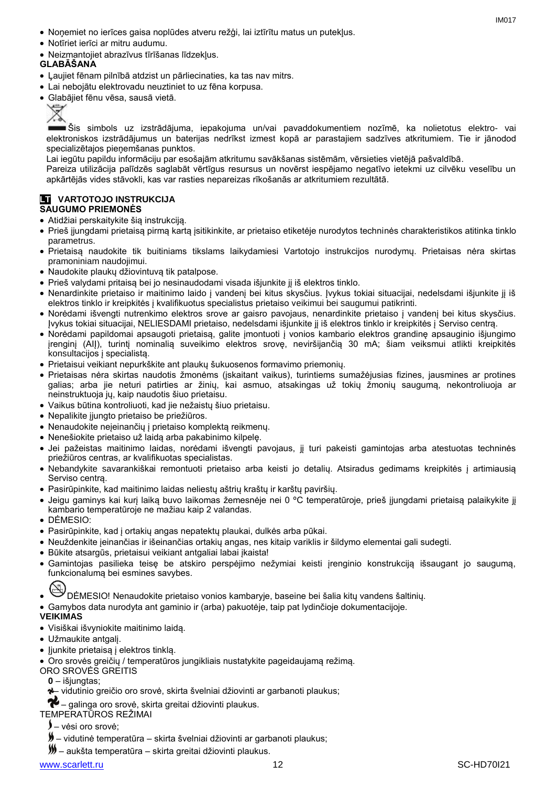- Noņemiet no ierīces gaisa noplūdes atveru režģi, lai iztīrītu matus un putekļus.
- Notīriet ierīci ar mitru audumu.
- Neizmantojiet abrazīvus tīrīšanas līdzekļus.

## **GLABĀŠANA**

- Ļaujiet fēnam pilnībā atdzist un pārliecinaties, ka tas nav mitrs.
- Lai nebojātu elektrovadu neuztiniet to uz fēna korpusa.
- Glabājiet fēnu vēsa, sausā vietā.



Šis simbols uz izstrādājuma, iepakojuma un/vai pavaddokumentiem nozīmē, ka nolietotus elektro- vai elektroniskos izstrādājumus un baterijas nedrīkst izmest kopā ar parastajiem sadzīves atkritumiem. Tie ir jānodod specializētajos pieņemšanas punktos.

Lai iegūtu papildu informāciju par esošajām atkritumu savākšanas sistēmām, vērsieties vietējā pašvaldībā.

Pareiza utilizācija palīdzēs saglabāt vērtīgus resursus un novērst iespējamo negatīvo ietekmi uz cilvēku veselību un apkārtējās vides stāvokli, kas var rasties nepareizas rīkošanās ar atkritumiem rezultātā.

#### **LT VARTOTOJO INSTRUKCIJA SAUGUMO PRIEMONĖS**

- Atidžiai perskaitykite šią instrukciją.
- Prieš įjungdami prietaisą pirmą kartą įsitikinkite, ar prietaiso etiketėje nurodytos techninės charakteristikos atitinka tinklo parametrus.
- Prietaisą naudokite tik buitiniams tikslams laikydamiesi Vartotojo instrukcijos nurodymų. Prietaisas nėra skirtas pramoniniam naudojimui.
- Naudokite plaukų džiovintuvą tik patalpose.
- Prieš valydami pritaisą bei jo nesinaudodami visada išjunkite jį iš elektros tinklo.
- Nenardinkite prietaiso ir maitinimo laido į vandenį bei kitus skysčius. Įvykus tokiai situacijai, nedelsdami išjunkite jį iš elektros tinklo ir kreipkitės į kvalifikuotus specialistus prietaiso veikimui bei saugumui patikrinti.
- Norėdami išvengti nutrenkimo elektros srove ar gaisro pavojaus, nenardinkite prietaiso į vandenį bei kitus skysčius. Įvykus tokiai situacijai, NELIESDAMI prietaiso, nedelsdami išjunkite jį iš elektros tinklo ir kreipkitės į Serviso centrą.
- Norėdami papildomai apsaugoti prietaisą, galite įmontuoti į vonios kambario elektros grandinę apsauginio išjungimo įrenginį (AIĮ), turintį nominalią suveikimo elektros srovę, neviršijančią 30 mA; šiam veiksmui atlikti kreipkitės konsultacijos į specialistą.
- Prietaisui veikiant nepurkškite ant plaukų šukuosenos formavimo priemonių.
- Prietaisas nėra skirtas naudotis žmonėms (įskaitant vaikus), turintiems sumažėjusias fizines, jausmines ar protines galias; arba jie neturi patirties ar žinių, kai asmuo, atsakingas už tokių žmonių saugumą, nekontroliuoja ar neinstruktuoja jų, kaip naudotis šiuo prietaisu.
- Vaikus būtina kontroliuoti, kad jie nežaistų šiuo prietaisu.
- Nepalikite įjungto prietaiso be priežiūros.
- Nenaudokite neieinančių į prietaiso komplekta reikmenų.
- Nenešiokite prietaiso už laidą arba pakabinimo kilpelę.
- Jei pažeistas maitinimo laidas, norėdami išvengti pavojaus, jį turi pakeisti gamintojas arba atestuotas techninės priežiūros centras, ar kvalifikuotas specialistas.
- Nebandykite savarankiškai remontuoti prietaiso arba keisti jo detalių. Atsiradus gedimams kreipkitės į artimiausią Serviso centrą.
- Pasirūpinkite, kad maitinimo laidas neliestų aštrių kraštų ir karštų paviršių.
- Jeigu gaminys kai kurį laiką buvo laikomas žemesnėje nei 0 ºC temperatūroje, prieš įjungdami prietaisą palaikykite jį kambario temperatūroje ne mažiau kaip 2 valandas.
- DĖMESIO:
- Pasirūpinkite, kad į ortakių angas nepatektų plaukai, dulkės arba pūkai.
- Neuždenkite įeinančias ir išeinančias ortakių angas, nes kitaip variklis ir šildymo elementai gali sudegti.
- Būkite atsargūs, prietaisui veikiant antgaliai labai įkaista!
- Gamintojas pasilieka teisę be atskiro perspėjimo nežymiai keisti įrenginio konstrukciją išsaugant jo saugumą, funkcionalumą bei esmines savybes.

- DĖMESIO! Nenaudokite prietaiso vonios kambaryje, baseine bei šalia kitų vandens šaltinių.
- Gamybos data nurodyta ant gaminio ir (arba) pakuotėje, taip pat lydinčioje dokumentacijoje.

## **VEIKIMAS**

- Visiškai išvyniokite maitinimo laidą.
- Užmaukite antgalį.
- Jiunkite prietaisa į elektros tinklą.
- Oro srovės greičių / temperatūros jungikliais nustatykite pageidaujamą režimą.
- ORO SROVĖS GREITIS
	- **0** išjungtas;
	- vidutinio greičio oro srovė, skirta švelniai džiovinti ar garbanoti plaukus;

# $\bullet$  – galinga oro srovė, skirta greitai džiovinti plaukus.

### TEMPERATŪROS REŽIMAI

- vėsi oro srovė;
- vidutinė temperatūra skirta švelniai džiovinti ar garbanoti plaukus;
- aukšta temperatūra skirta greitai džiovinti plaukus.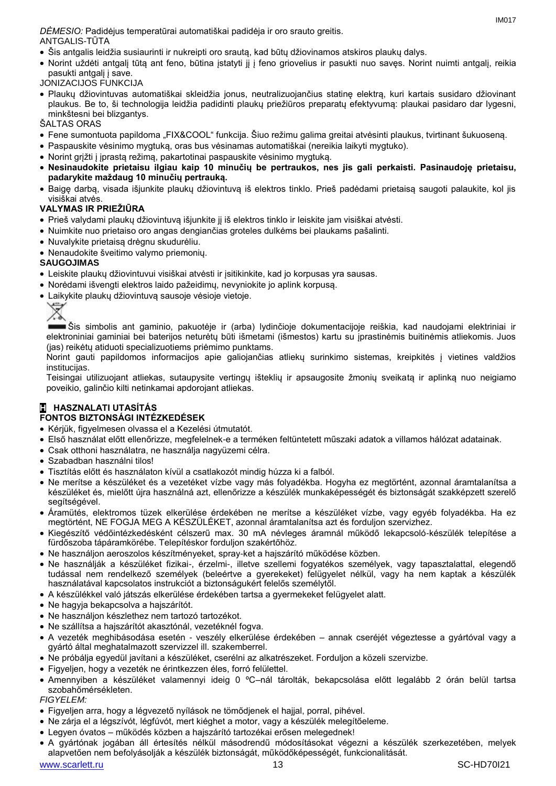- Šis antgalis leidžia susiaurinti ir nukreipti oro srautą, kad būtų džiovinamos atskiros plaukų dalys.
- Norint uždėti antgalį tūtą ant feno, būtina įstatyti jį į feno griovelius ir pasukti nuo savęs. Norint nuimti antgalį, reikia pasukti antgalį į save.
- JONIZACIJOS FUNKCIJA
- Plaukų džiovintuvas automatiškai skleidžia jonus, neutralizuojančius statinę elektrą, kuri kartais susidaro džiovinant plaukus. Be to, ši technologija leidžia padidinti plaukų priežiūros preparatų efektyvumą: plaukai pasidaro dar lygesni, minkštesni bei blizgantys.

ŠALTAS ORAS

- Fene sumontuota papildoma "FIX&COOL" funkcija. Šiuo režimu galima greitai atvėsinti plaukus, tvirtinant šukuoseną.
- Paspauskite vėsinimo mygtuką, oras bus vėsinamas automatiškai (nereikia laikyti mygtuko).
- Norint grįžti į įprastą režimą, pakartotinai paspauskite vėsinimo mygtuką.
- **Nesinaudokite prietaisu ilgiau kaip 10 minučių be pertraukos, nes jis gali perkaisti. Pasinaudoję prietaisu, padarykite maždaug 10 minučių pertrauką.**
- Baigę darbą, visada išjunkite plaukų džiovintuvą iš elektros tinklo. Prieš padėdami prietaisą saugoti palaukite, kol jis visiškai atvės.

#### **VALYMAS IR PRIEŽIŪRA**

- Prieš valydami plaukų džiovintuvą išjunkite jį iš elektros tinklo ir leiskite jam visiškai atvėsti.
- Nuimkite nuo prietaiso oro angas dengiančias groteles dulkėms bei plaukams pašalinti.
- Nuvalykite prietaisą drėgnu skudurėliu.
- Nenaudokite šveitimo valymo priemonių.

#### **SAUGOJIMAS**

- Leiskite plaukų džiovintuvui visiškai atvėsti ir įsitikinkite, kad jo korpusas yra sausas.
- Norėdami išvengti elektros laido pažeidimų, nevyniokite jo aplink korpusą.
- Laikykite plaukų džiovintuvą sausoje vėsioje vietoje.



Šis simbolis ant gaminio, pakuotėje ir (arba) lydinčioje dokumentacijoje reiškia, kad naudojami elektriniai ir elektroniniai gaminiai bei baterijos neturėtų būti išmetami (išmestos) kartu su įprastinėmis buitinėmis atliekomis. Juos (jas) reikėtų atiduoti specializuotiems priėmimo punktams.

Norint gauti papildomos informacijos apie galiojančias atliekų surinkimo sistemas, kreipkitės į vietines valdžios institucijas.

Teisingai utilizuojant atliekas, sutaupysite vertingų išteklių ir apsaugosite žmonių sveikatą ir aplinką nuo neigiamo poveikio, galinčio kilti netinkamai apdorojant atliekas.

#### **H HASZNALATI UTASÍTÁS FONTOS BIZTONSÁGI INTÉZKEDÉSEK**

- Kérjük, figyelmesen olvassa el a Kezelési útmutatót.
- Első használat előtt ellenőrizze, megfelelnek-e a terméken feltüntetett műszaki adatok a villamos hálózat adatainak.
- Csak otthoni használatra, ne használja nagyüzemi célra.
- Szabadban használni tilos!
- Tisztítás előtt és használaton kívül a csatlakozót mindig húzza ki a falból.
- Ne merítse a készüléket és a vezetéket vízbe vagy más folyadékba. Hogyha ez megtörtént, azonnal áramtalanítsa a készüléket és, mielőtt újra használná azt, ellenőrizze a készülék munkaképességét és biztonságát szakképzett szerelő segítségével.
- Áramütés, elektromos tüzek elkerülése érdekében ne merítse a készüléket vízbe, vagy egyéb folyadékba. Ha ez megtörtént, NE FOGJA MEG A KÉSZÜLÉKET, azonnal áramtalanítsa azt és forduljon szervizhez.
- Kiegészítő védőintézkedésként célszerű max. 30 mA névleges áramnál működő lekapcsoló-készülék telepítése a fürdőszoba tápáramkörébe. Telepítéskor forduljon szakértőhöz.
- Ne használjon aeroszolos készítményeket, spray-ket a hajszárító működése közben.
- Ne használják a készüléket fizikai-, érzelmi-, illetve szellemi fogyatékos személyek, vagy tapasztalattal, elegendő tudással nem rendelkező személyek (beleértve a gyerekeket) felügyelet nélkül, vagy ha nem kaptak a készülék használatával kapcsolatos instrukciót a biztonságukért felelős személytől.
- A készülékkel való játszás elkerülése érdekében tartsa a gyermekeket felügyelet alatt.
- Ne hagyja bekapcsolva a hajszárítót.
- Ne használjon készlethez nem tartozó tartozékot.
- Ne szállítsa a hajszárítót akasztónál, vezetéknél fogva.
- A vezeték meghibásodása esetén veszély elkerülése érdekében annak cseréjét végeztesse a gyártóval vagy a gyártó által meghatalmazott szervizzel ill. szakemberrel.
- Ne próbálja egyedül javítani a készüléket, cserélni az alkatrészeket. Forduljon a közeli szervizbe.
- Figyeljen, hogy a vezeték ne érintkezzen éles, forró felülettel.
- Amennyiben a készüléket valamennyi ideig 0 ºC–nál tárolták, bekapcsolása előtt legalább 2 órán belül tartsa szobahőmérsékleten.

#### *FIGYELEM:*

- Figyeljen arra, hogy a légvezető nyílások ne tömődjenek el hajjal, porral, pihével.
- Ne zárja el a légszívót, légfúvót, mert kiéghet a motor, vagy a készülék melegítőeleme.
- Legyen óvatos működés közben a hajszárító tartozékai erősen melegednek!
- A gyártónak jogában áll értesítés nélkül másodrendű módosításokat végezni a készülék szerkezetében, melyek alapvetően nem befolyásolják a készülék biztonságát, működőképességét, funkcionalitását.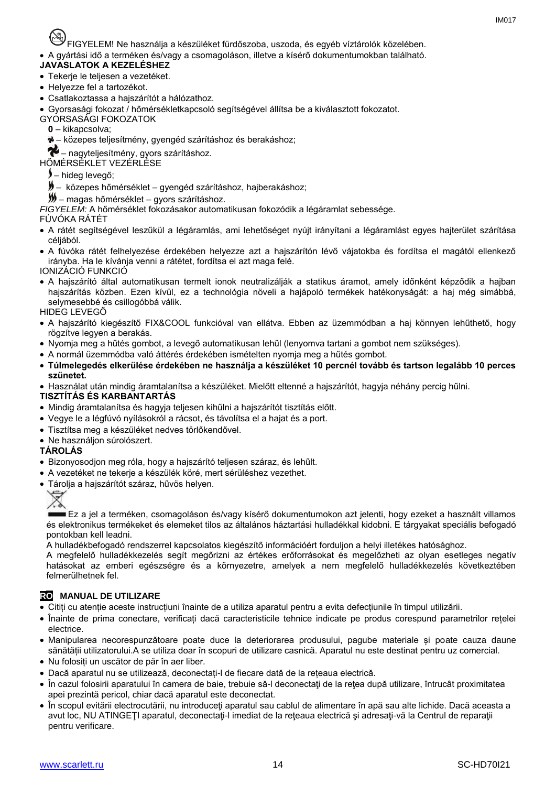FIGYELEM! Ne használja a készüléket fürdőszoba, uszoda, és egyéb víztárolók közelében.

A gyártási idő a terméken és/vagy a csomagoláson, illetve a kísérő dokumentumokban található.

**JAVASLATOK A KEZELÉSHEZ**

#### Tekerje le teljesen a vezetéket.

- Helyezze fel a tartozékot.
- Csatlakoztassa a hajszárítót a hálózathoz.
- Gyorsasági fokozat / hőmérsékletkapcsoló segítségével állítsa be a kiválasztott fokozatot.
- GYORSASÁGI FOKOZATOK
	- **0** kikapcsolva;
	- közepes teljesítmény, gyengéd szárításhoz és berakáshoz;

– nagyteljesítmény, gyors szárításhoz.

HŐMÉRSÉKLET VEZÉRLÉSE

- hideg levegő;
- közepes hőmérséklet gyengéd szárításhoz, hajberakáshoz;
- magas hőmérséklet gyors szárításhoz.
- *FIGYELEM:* A hőmérséklet fokozásakor automatikusan fokozódik a légáramlat sebessége.

#### FÚVÓKA RÁTÉT

- А rátét segítségével leszűkül a légáramlás, ami lehetőséget nyújt irányítani a légáramlást egyes hajterület szárítása céljából.
- A fúvóka rátét felhelyezése érdekében helyezze azt a hajszárítón lévő vájatokba és fordítsa el magától ellenkező irányba. Ha le kívánja venni a rátétet, fordítsa el azt maga felé.
- IONIZÁCIÓ FUNKCIÓ
- A hajszárító által automatikusan termelt ionok neutralizálják a statikus áramot, amely időnként képződik a hajban hajszárítás közben. Ezen kívül, ez a technológia növeli a hajápoló termékek hatékonyságát: a haj még simábbá, selymesebbé és csillogóbbá válik.
- HIDEG LEVEGŐ
- A hajszárító kiegészítő FIX&COOL funkcióval van ellátva. Ebben az üzemmódban a haj könnyen lehűthető, hogy rögzítve legyen a berakás.
- Nyomja meg a hűtés gombot, a levegő automatikusan lehűl (lenyomva tartani a gombot nem szükséges).
- A normál üzemmódba való áttérés érdekében ismételten nyomja meg a hűtés gombot.
- **Túlmelegedés elkerülése érdekében ne használja a készüléket 10 percnél tovább és tartson legalább 10 perces szünetet.**
- Használat után mindig áramtalanítsa a készüléket. Mielőtt eltenné a hajszárítót, hagyja néhány percig hűlni.

#### **TISZTÍTÁS ÉS KARBANTARTÁS**

- Mindig áramtalanítsa és hagyja teljesen kihűlni a hajszárítót tisztítás előtt.
- Vegye le a légfúvó nyílásokról a rácsot, és távolítsa el a hajat és a port.
- Tisztítsa meg a készüléket nedves törlőkendővel.
- Ne használion súrolószert.

#### **TÁROLÁS**

- Bizonyosodjon meg róla, hogy a hajszárító teljesen száraz, és lehűlt.
- A vezetéket ne tekerje a készülék köré, mert sérüléshez vezethet.
- Tárolja a hajszárítót száraz, hűvös helyen.



Ez a jel a terméken, csomagoláson és/vagy kísérő dokumentumokon azt jelenti, hogy ezeket a használt villamos és elektronikus termékeket és elemeket tilos az általános háztartási hulladékkal kidobni. E tárgyakat speciális befogadó pontokban kell leadni.

A hulladékbefogadó rendszerrel kapcsolatos kiegészítő információért forduljon a helyi illetékes hatósághoz.

A megfelelő hulladékkezelés segít megőrizni az értékes erőforrásokat és megelőzheti az olyan esetleges negatív hatásokat az emberi egészségre és a környezetre, amelyek a nem megfelelő hulladékkezelés következtében felmerülhetnek fel.

## **RO MANUAL DE UTILIZARE**

- Citiți cu atenție aceste instrucțiuni înainte de a utiliza aparatul pentru a evita defecțiunile în timpul utilizării.
- Înainte de prima conectare, verificați dacă caracteristicile tehnice indicate pe produs corespund parametrilor rețelei electrice.
- Manipularea necorespunzătoare poate duce la deteriorarea produsului, pagube materiale și poate cauza daune sănătății utilizatorului.A se utiliza doar în scopuri de utilizare casnică. Aparatul nu este destinat pentru uz comercial.
- Nu folosiți un uscător de păr în aer liber.
- Dacă aparatul nu se utilizează, deconectați-l de fiecare dată de la rețeaua electrică.
- În cazul folosirii aparatului în camera de baie, trebuie să-l deconectați de la rețea după utilizare, întrucât proximitatea apei prezintă pericol, chiar dacă aparatul este deconectat.
- În scopul evitării electrocutării, nu introduceţi aparatul sau cablul de alimentare în apă sau alte lichide. Dacă aceasta a avut loc, NU ATINGEŢI aparatul, deconectaţi-l imediat de la reţeaua electrică şi adresaţi-vă la Centrul de reparaţii pentru verificare.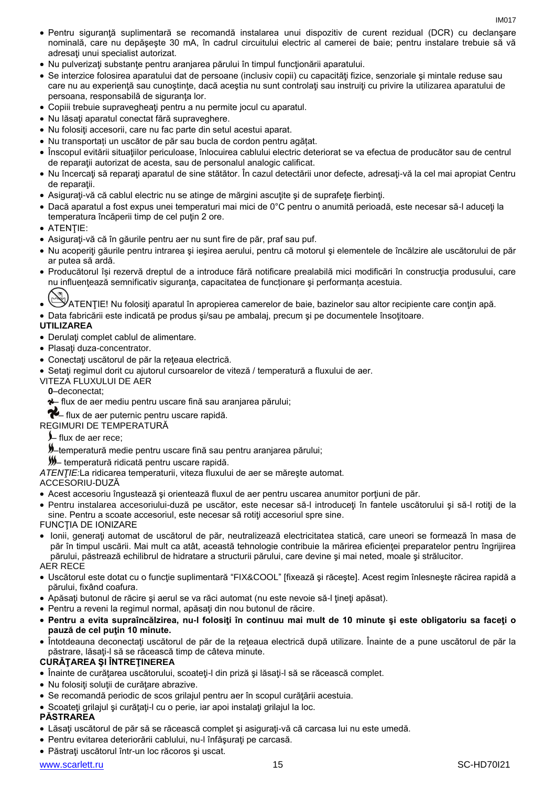- Pentru siguranţă suplimentară se recomandă instalarea unui dispozitiv de curent rezidual (DCR) cu declanşare nominală, care nu depăşeşte 30 mA, în cadrul circuitului electric al camerei de baie; pentru instalare trebuie să vă adresaţi unui specialist autorizat.
- Nu pulverizaţi substanţe pentru aranjarea părului în timpul funcţionării aparatului.
- Se interzice folosirea aparatului dat de persoane (inclusiv copii) cu capacități fizice, senzoriale și mintale reduse sau care nu au experiență sau cunoștințe, dacă aceștia nu sunt controlați sau instruiți cu privire la utilizarea aparatului de persoana, responsabilă de siguranţa lor.
- Copiii trebuie supravegheaţi pentru a nu permite jocul cu aparatul.
- Nu lăsați aparatul conectat fără supraveghere.
- Nu folositi accesorii, care nu fac parte din setul acestui aparat.
- Nu transportați un uscător de păr sau bucla de cordon pentru agățat.
- Înscopul evitării situaţiilor periculoase, înlocuirea cablului electric deteriorat se va efectua de producător sau de centrul de reparații autorizat de acesta, sau de personalul analogic calificat.
- Nu încercați să reparați aparatul de sine stătător. În cazul detectării unor defecte, adresați-vă la cel mai apropiat Centru de reparatii.
- Asiguraţi-vă că cablul electric nu se atinge de mărgini ascuţite şi de suprafeţe fierbinţi.
- Dacă aparatul a fost expus unei temperaturi mai mici de 0°C pentru o anumită perioadă, este necesar să-l aduceţi la temperatura încăperii timp de cel puţin 2 ore.
- **ATENTIE:**
- Asiguraţi-vă că în găurile pentru aer nu sunt fire de păr, praf sau puf.
- Nu acoperiți găurile pentru intrarea și ieșirea aerului, pentru că motorul și elementele de încălzire ale uscătorului de păr ar putea să ardă.
- Producătorul își rezervă dreptul de a introduce fără notificare prealabilă mici modificări în construcţia produsului, care nu influențează semnificativ siguranța, capacitatea de funcționare și performanța acestuia.

 $\mathscr Y$ ATENȚIE! Nu folositi aparatul în apropierea camerelor de baie, bazinelor sau altor recipiente care contin apă.

• Data fabricării este indicată pe produs si/sau pe ambalai, precum și pe documentele însotitoare.

#### **UTILIZAREA**

- Derulati complet cablul de alimentare.
- Plasați duza-concentrator.
- Conectaţi uscătorul de păr la reţeaua electrică.
- Setați regimul dorit cu ajutorul cursoarelor de viteză / temperatură a fluxului de aer.
- VITEZA FLUXULUI DE AER
	- **0**–deconectat;
	- flux de aer mediu pentru uscare fină sau aranjarea părului;

+ flux de aer puternic pentru uscare rapidă.

- REGIMURI DE TEMPERATURĂ
	- flux de aer rece;
	- –temperatură medie pentru uscare fină sau pentru aranjarea părului;

– temperatură ridicată pentru uscare rapidă.

*ATENŢIE:*La ridicarea temperaturii, viteza fluxului de aer se măreşte automat.

#### ACCESORIU-DUZĂ

- Acest accesoriu îngustează şi orientează fluxul de aer pentru uscarea anumitor porţiuni de păr.
- Pentru instalarea accesoriului-duză pe uscător, este necesar să-l introduceţi în fantele uscătorului şi să-l rotiţi de la sine. Pentru a scoate accesoriul, este necesar să rotiţi accesoriul spre sine.

FUNCŢIA DE IONIZARE

 Ionii, generaţi automat de uscătorul de păr, neutralizează electricitatea statică, care uneori se formează în masa de păr în timpul uscării. Mai mult ca atât, această tehnologie contribuie la mărirea eficienţei preparatelor pentru îngrijirea părului, păstrează echilibrul de hidratare a structurii părului, care devine şi mai neted, moale şi strălucitor.

#### AER RECE

- Uscătorul este dotat cu o funcţie suplimentară "FIX&COOL" [fixează şi răceşte]. Acest regim înlesneşte răcirea rapidă a părului, fixând coafura.
- Apăsați butonul de răcire și aerul se va răci automat (nu este nevoie să-l tineți apăsat).
- Pentru a reveni la regimul normal, apăsați din nou butonul de răcire.
- **Pentru a evita supraîncălzirea, nu-l folosiţi în continuu mai mult de 10 minute şi este obligatoriu sa faceţi o pauză de cel puţin 10 minute.**
- Întotdeauna deconectaţi uscătorul de păr de la reţeaua electrică după utilizare. Înainte de a pune uscătorul de păr la păstrare, lăsaţi-l să se răcească timp de câteva minute.

#### **CURĂŢAREA ŞI ÎNTREŢINEREA**

- Înainte de curătarea uscătorului, scoateti-l din priză și lăsați-l să se răcească complet.
- Nu folositi solutii de curătare abrazive.
- Se recomandă periodic de scos grilajul pentru aer în scopul curăţării acestuia.
- Scoateţi grilajul şi curăţaţi-l cu o perie, iar apoi instalaţi grilajul la loc.

#### **PĂSTRAREA**

- Lăsaţi uscătorul de păr să se răcească complet şi asiguraţi-vă că carcasa lui nu este umedă.
- Pentru evitarea deteriorării cablului, nu-l înfăşuraţi pe carcasă.
- Păstraţi uscătorul într-un loc răcoros şi uscat.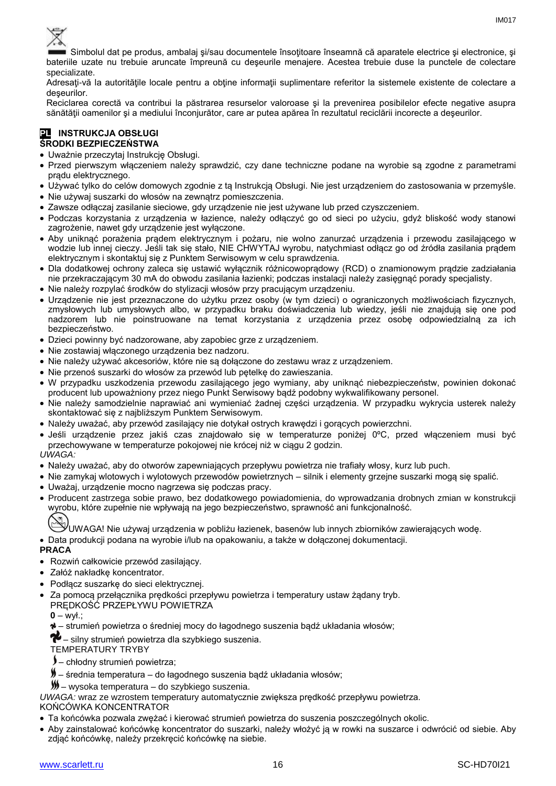

Simbolul dat pe produs, ambalaj si/sau documentele însoțitoare înseamnă că aparatele electrice și electronice, și bateriile uzate nu trebuie aruncate împreună cu deşeurile menajere. Acestea trebuie duse la punctele de colectare specializate.

Adresați-vă la autoritățile locale pentru a obține informații suplimentare referitor la sistemele existente de colectare a deşeurilor.

Reciclarea corectă va contribui la păstrarea resurselor valoroase şi la prevenirea posibilelor efecte negative asupra sănătății oamenilor și a mediului înconjurător, care ar putea apărea în rezultatul reciclării incorecte a deșeurilor.

#### **PL INSTRUKCJA OBSŁUGI ŚRODKI BEZPIECZEŃSTWA**

- Uważnie przeczytaj Instrukcję Obsługi.
- Przed pierwszym włączeniem należy sprawdzić, czy dane techniczne podane na wyrobie są zgodne z parametrami prądu elektrycznego.
- Używać tylko do celów domowych zgodnie z tą Instrukcją Obsługi. Nie jest urządzeniem do zastosowania w przemyśle.
- Nie używaj suszarki do włosów na zewnątrz pomieszczenia.
- Zawsze odłączaj zasilanie sieciowe, gdy urządzenie nie jest używane lub przed czyszczeniem.
- Podczas korzystania z urządzenia w łazience, należy odłączyć go od sieci po użyciu, gdyż bliskość wody stanowi zagrożenie, nawet gdy urządzenie jest wyłączone.
- Aby uniknąć porażenia prądem elektrycznym i pożaru, nie wolno zanurzać urządzenia i przewodu zasilającego w wodzie lub innej cieczy. Jeśli tak się stało, NIE CHWYTAJ wyrobu, natychmiast odłącz go od źródła zasilania prądem elektrycznym i skontaktuj się z Punktem Serwisowym w celu sprawdzenia.
- Dla dodatkowej ochrony zaleca się ustawić wyłącznik różnicowoprądowy (RCD) o znamionowym prądzie zadziałania nie przekraczającym 30 mA do obwodu zasilania łazienki; podczas instalacji należy zasięgnąć porady specjalisty.
- Nie należy rozpylać środków do stylizacji włosów przy pracującym urządzeniu.
- Urządzenie nie jest przeznaczone do użytku przez osoby (w tym dzieci) o ograniczonych możliwościach fizycznych, zmysłowych lub umysłowych albo, w przypadku braku doświadczenia lub wiedzy, jeśli nie znajdują się one pod nadzorem lub nie poinstruowane na temat korzystania z urządzenia przez osobę odpowiedzialną za ich bezpieczeństwo.
- Dzieci powinny być nadzorowane, aby zapobiec grze z urządzeniem.
- Nie zostawiaj włączonego urządzenia bez nadzoru.
- Nie należy używać akcesoriów, które nie są dołączone do zestawu wraz z urządzeniem.
- Nie przenoś suszarki do włosów za przewód lub pętelkę do zawieszania.
- W przypadku uszkodzenia przewodu zasilającego jego wymiany, aby uniknąć niebezpieczeństw, powinien dokonać producent lub upoważniony przez niego Punkt Serwisowy bądź podobny wykwalifikowany personel.
- Nie należy samodzielnie naprawiać ani wymieniać żadnej części urządzenia. W przypadku wykrycia usterek należy skontaktować się z najbliższym Punktem Serwisowym.
- Należy uważać, aby przewód zasilający nie dotykał ostrych krawędzi i gorących powierzchni.
- Jeśli urządzenie przez jakiś czas znajdowało się w temperaturze poniżej 0ºC, przed włączeniem musi być przechowywane w temperaturze pokojowej nie krócej niż w ciągu 2 godzin.

#### *UWAGA:*

- Należy uważać, aby do otworów zapewniających przepływu powietrza nie trafiały włosy, kurz lub puch.
- Nie zamykaj wlotowych i wylotowych przewodów powietrznych silnik i elementy grzejne suszarki mogą się spalić.
- Uważaj, urządzenie mocno nagrzewa się podczas pracy.
- Producent zastrzega sobie prawo, bez dodatkowego powiadomienia, do wprowadzania drobnych zmian w konstrukcji wyrobu, które zupełnie nie wpływają na jego bezpieczeństwo, sprawność ani funkcjonalność.
	- UWAGA! Nie używaj urządzenia w pobliżu łazienek, basenów lub innych zbiorników zawierających wodę.

Data produkcji podana na wyrobie i/lub na opakowaniu, a także w dołączonej dokumentacji.

#### **PRACA**

- Rozwiń całkowicie przewód zasilający.
- Załóż nakładkę koncentrator.
- Podłącz suszarkę do sieci elektrycznej.
- Za pomocą przełącznika prędkości przepływu powietrza i temperatury ustaw żądany tryb.
- PRĘDKOŚĆ PRZEPŁYWU POWIETRZA

**0** – wył.;

– strumień powietrza o średniej mocy do łagodnego suszenia bądź układania włosów;

 $\bullet$  – silny strumień powietrza dla szybkiego suszenia.

TEMPERATURY TRYBY

- chłodny strumień powietrza;
- średnia temperatura do łagodnego suszenia bądź układania włosów;

– wysoka temperatura – do szybkiego suszenia.

*UWAGA:* wraz ze wzrostem temperatury automatycznie zwiększa prędkość przepływu powietrza.

#### KOŃCÓWKA KONCENTRATOR

- Ta końcówka pozwala zwężać i kierować strumień powietrza do suszenia poszczególnych okolic.
- Aby zainstalować końcówkę koncentrator do suszarki, należy włożyć ją w rowki na suszarce i odwrócić od siebie. Aby zdjąć końcówkę, należy przekręcić końcówkę na siebie.